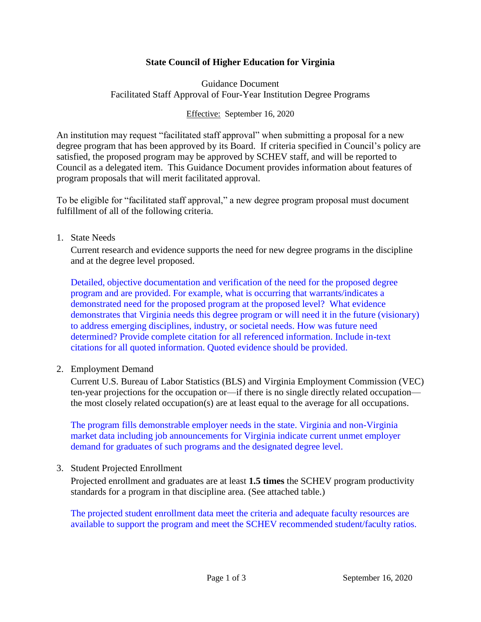# **State Council of Higher Education for Virginia**

Guidance Document Facilitated Staff Approval of Four-Year Institution Degree Programs

Effective: September 16, 2020

An institution may request "facilitated staff approval" when submitting a proposal for a new degree program that has been approved by its Board. If criteria specified in Council's policy are satisfied, the proposed program may be approved by SCHEV staff, and will be reported to Council as a delegated item. This Guidance Document provides information about features of program proposals that will merit facilitated approval.

To be eligible for "facilitated staff approval," a new degree program proposal must document fulfillment of all of the following criteria.

1. State Needs

Current research and evidence supports the need for new degree programs in the discipline and at the degree level proposed.

Detailed, objective documentation and verification of the need for the proposed degree program and are provided. For example, what is occurring that warrants/indicates a demonstrated need for the proposed program at the proposed level? What evidence demonstrates that Virginia needs this degree program or will need it in the future (visionary) to address emerging disciplines, industry, or societal needs. How was future need determined? Provide complete citation for all referenced information. Include in-text citations for all quoted information. Quoted evidence should be provided.

2. Employment Demand

Current U.S. Bureau of Labor Statistics (BLS) and Virginia Employment Commission (VEC) ten-year projections for the occupation or—if there is no single directly related occupation the most closely related occupation(s) are at least equal to the average for all occupations.

The program fills demonstrable employer needs in the state. Virginia and non-Virginia market data including job announcements for Virginia indicate current unmet employer demand for graduates of such programs and the designated degree level.

3. Student Projected Enrollment

Projected enrollment and graduates are at least **1.5 times** the SCHEV program productivity standards for a program in that discipline area. (See attached table.)

The projected student enrollment data meet the criteria and adequate faculty resources are available to support the program and meet the SCHEV recommended student/faculty ratios.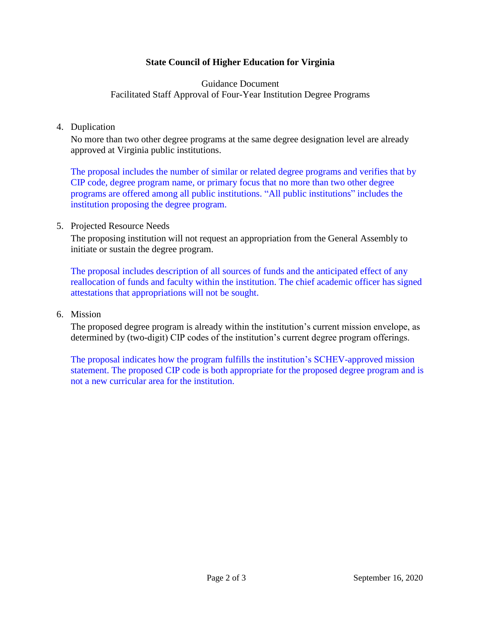# **State Council of Higher Education for Virginia**

# Guidance Document Facilitated Staff Approval of Four-Year Institution Degree Programs

### 4. Duplication

No more than two other degree programs at the same degree designation level are already approved at Virginia public institutions.

The proposal includes the number of similar or related degree programs and verifies that by CIP code, degree program name, or primary focus that no more than two other degree programs are offered among all public institutions. "All public institutions" includes the institution proposing the degree program.

### 5. Projected Resource Needs

The proposing institution will not request an appropriation from the General Assembly to initiate or sustain the degree program.

The proposal includes description of all sources of funds and the anticipated effect of any reallocation of funds and faculty within the institution. The chief academic officer has signed attestations that appropriations will not be sought.

#### 6. Mission

The proposed degree program is already within the institution's current mission envelope, as determined by (two-digit) CIP codes of the institution's current degree program offerings.

The proposal indicates how the program fulfills the institution's SCHEV-approved mission statement. The proposed CIP code is both appropriate for the proposed degree program and is not a new curricular area for the institution.